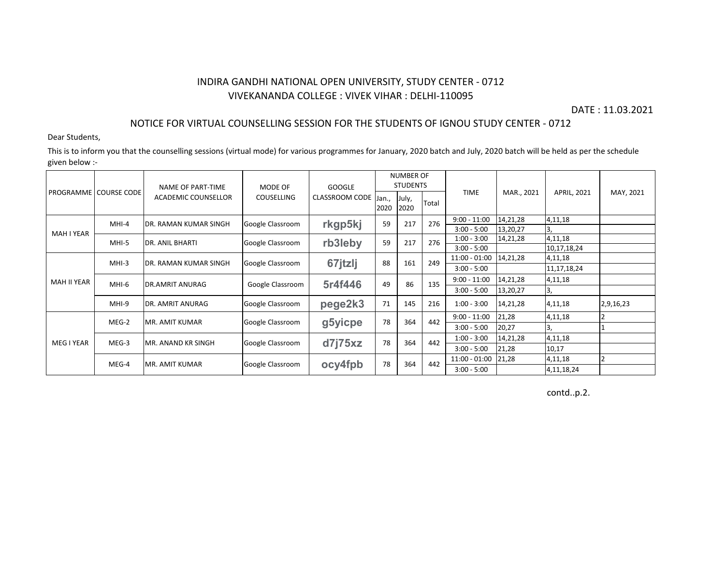## INDIRA GANDHI NATIONAL OPEN UNIVERSITY, STUDY CENTER - 0712 VIVEKANANDA COLLEGE : VIVEK VIHAR : DELHI-110095

DATE : 11.03.2021

### NOTICE FOR VIRTUAL COUNSELLING SESSION FOR THE STUDENTS OF IGNOU STUDY CENTER - 0712

Dear Students,

This is to inform you that the counselling sessions (virtual mode) for various programmes for January, 2020 batch and July, 2020 batch will be held as per the schedule given below :-

|                    | PROGRAMME   COURSE CODE | NAME OF PART-TIME             | MODE OF<br><b>COUSELLING</b> | <b>GOOGLE</b><br><b>CLASSROOM CODE</b> | <b>NUMBER OF</b><br><b>STUDENTS</b> |               |       |                 |            |                |           |
|--------------------|-------------------------|-------------------------------|------------------------------|----------------------------------------|-------------------------------------|---------------|-------|-----------------|------------|----------------|-----------|
|                    |                         | <b>ACADEMIC COUNSELLOR</b>    |                              |                                        | Jan.,<br>2020                       | July,<br>2020 | Total | <b>TIME</b>     | MAR., 2021 | APRIL, 2021    | MAY, 2021 |
| <b>MAH I YEAR</b>  | MHI-4                   | <b>DR. RAMAN KUMAR SINGH</b>  | Google Classroom             | rkgp5kj                                | 59                                  | 217           | 276   | $9:00 - 11:00$  | 14,21,28   | 4,11,18        |           |
|                    |                         |                               |                              |                                        |                                     |               |       | $3:00 - 5:00$   | 13,20,27   |                |           |
|                    | MHI-5                   | <b>DR. ANIL BHARTI</b>        | Google Classroom             | rb3leby                                | 59                                  | 217           | 276   | $1:00 - 3:00$   | 14,21,28   | 4,11,18        |           |
|                    |                         |                               |                              |                                        |                                     |               |       | $3:00 - 5:00$   |            | 10,17,18,24    |           |
| <b>MAH II YEAR</b> | $MHI-3$                 | <b>IDR. RAMAN KUMAR SINGH</b> | Google Classroom             | 67jtzlj                                | 88                                  | 161           | 249   | $11:00 - 01:00$ | 14,21,28   | 4,11,18        |           |
|                    |                         |                               |                              |                                        |                                     |               |       | $3:00 - 5:00$   |            | 11, 17, 18, 24 |           |
|                    | MHI-6                   | <b>DR.AMRIT ANURAG</b>        | Google Classroom             | 5r4f446                                | 49                                  | 86            | 135   | $9:00 - 11:00$  | 14,21,28   | 4,11,18        |           |
|                    |                         |                               |                              |                                        |                                     |               |       | $3:00 - 5:00$   | 13,20,27   | 3,             |           |
|                    | MHI-9                   | <b>DR. AMRIT ANURAG</b>       | Google Classroom             | pege2k3                                | 71                                  | 145           | 216   | $1:00 - 3:00$   | 14,21,28   | 4,11,18        | 2,9,16,23 |
| <b>MEG I YEAR</b>  | MEG-2                   | <b>MR. AMIT KUMAR</b>         | Google Classroom             | g5yicpe                                | 78                                  | 364           | 442   | $9:00 - 11:00$  | 21,28      | 4,11,18        |           |
|                    |                         |                               |                              |                                        |                                     |               |       | $3:00 - 5:00$   | 20,27      | Β.             |           |
|                    | MEG-3                   | <b>IMR. ANAND KR SINGH</b>    | Google Classroom             | d7i75xz                                | 78                                  | 364           | 442   | $1:00 - 3:00$   | 14,21,28   | 4,11,18        |           |
|                    |                         |                               |                              |                                        |                                     |               |       | $3:00 - 5:00$   | 21,28      | 10,17          |           |
|                    | MEG-4                   | <b>IMR. AMIT KUMAR</b>        | Google Classroom             | ocy4fpb                                | 78                                  | 364           | 442   | $11:00 - 01:00$ | 21,28      | 4,11,18        |           |
|                    |                         |                               |                              |                                        |                                     |               |       | $3:00 - 5:00$   |            | 4, 11, 18, 24  |           |

contd..p.2.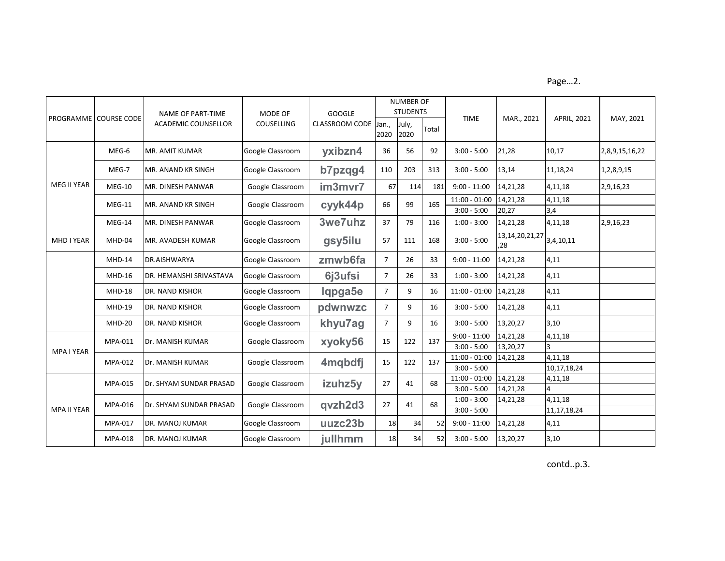Page…2.

|                   | <b>PROGRAMME COURSE CODE</b> | NAME OF PART-TIME<br><b>ACADEMIC COUNSELLOR</b> | MODE OF<br>COUSELLING | <b>GOOGLE</b><br>CLASSROOM CODE | <b>NUMBER OF</b><br><b>STUDENTS</b> |               |       |                                |                           |                           |                |
|-------------------|------------------------------|-------------------------------------------------|-----------------------|---------------------------------|-------------------------------------|---------------|-------|--------------------------------|---------------------------|---------------------------|----------------|
|                   |                              |                                                 |                       |                                 | Jan.,<br>2020                       | July,<br>2020 | Total | <b>TIME</b>                    | MAR., 2021                | APRIL, 2021               | MAY, 2021      |
|                   | MEG-6                        | <b>MR. AMIT KUMAR</b>                           | Google Classroom      | yxibzn4                         | 36                                  | 56            | 92    | $3:00 - 5:00$                  | 21,28                     | 10,17                     | 2,8,9,15,16,22 |
|                   | MEG-7                        | <b>MR. ANAND KR SINGH</b>                       | Google Classroom      | b7pzqg4                         | 110                                 | 203           | 313   | $3:00 - 5:00$                  | 13,14                     | 11,18,24                  | 1,2,8,9,15     |
| MEG II YEAR       | $MEG-10$                     | MR. DINESH PANWAR                               | Google Classroom      | im3mvr7                         | 67                                  | 114           | 181   | $9:00 - 11:00$                 | 14,21,28                  | 4,11,18                   | 2,9,16,23      |
|                   | $MEG-11$                     | MR. ANAND KR SINGH                              | Google Classroom      | cyyk44p                         | 66                                  | 99            | 165   | $11:00 - 01:00$                | 14,21,28                  | 4,11,18                   |                |
|                   |                              |                                                 |                       |                                 |                                     |               |       | $3:00 - 5:00$                  | 20,27                     | 3,4                       |                |
|                   | MEG-14                       | MR. DINESH PANWAR                               | Google Classroom      | 3we7uhz                         | 37                                  | 79            | 116   | $1:00 - 3:00$                  | 14,21,28                  | 4,11,18                   | 2,9,16,23      |
| MHD I YEAR        | MHD-04                       | MR. AVADESH KUMAR                               | Google Classroom      | gsy5ilu                         | 57                                  | 111           | 168   | $3:00 - 5:00$                  | 13, 14, 20, 21, 27<br>,28 | 3,4,10,11                 |                |
|                   | MHD-14                       | DR.AISHWARYA                                    | Google Classroom      | zmwb6fa                         | $\overline{7}$                      | 26            | 33    | $9:00 - 11:00$                 | 14,21,28                  | 4,11                      |                |
|                   | MHD-16                       | <b>DR. HEMANSHI SRIVASTAVA</b>                  | Google Classroom      | 6j3ufsi                         | $\overline{7}$                      | 26            | 33    | $1:00 - 3:00$                  | 14,21,28                  | 4,11                      |                |
|                   | <b>MHD-18</b>                | <b>DR. NAND KISHOR</b>                          | Google Classroom      | lqpga5e                         | $\overline{7}$                      | 9             | 16    | $11:00 - 01:00$                | 14,21,28                  | 4,11                      |                |
|                   | <b>MHD-19</b>                | <b>DR. NAND KISHOR</b>                          | Google Classroom      | pdwnwzc                         | $\overline{7}$                      | 9             | 16    | $3:00 - 5:00$                  | 14,21,28                  | 4,11                      |                |
|                   | <b>MHD-20</b>                | <b>DR. NAND KISHOR</b>                          | Google Classroom      | khyu7ag                         | $\overline{7}$                      | 9             | 16    | $3:00 - 5:00$                  | 13,20,27                  | 3,10                      |                |
|                   | MPA-011                      | Dr. MANISH KUMAR                                | Google Classroom      | xyoky56                         | 15                                  | 122           | 137   | $9:00 - 11:00$                 | 14,21,28                  | 4,11,18                   |                |
| <b>MPA I YEAR</b> |                              |                                                 |                       |                                 |                                     |               |       | $3:00 - 5:00$                  | 13,20,27                  |                           |                |
|                   | MPA-012                      | Dr. MANISH KUMAR                                | Google Classroom      | 4mqbdfj                         | 15                                  | 122           | 137   | $11:00 - 01:00$                | 14,21,28                  | 4,11,18                   |                |
|                   |                              |                                                 |                       |                                 |                                     |               |       | $3:00 - 5:00$                  |                           | 10,17,18,24               |                |
| MPA II YEAR       | <b>MPA-015</b>               | Dr. SHYAM SUNDAR PRASAD                         | Google Classroom      | izuhz5y                         | 27                                  | 41            | 68    | $11:00 - 01:00$                | 14,21,28                  | 4,11,18                   |                |
|                   |                              |                                                 |                       |                                 |                                     |               |       | $3:00 - 5:00$                  | 14,21,28                  |                           |                |
|                   | MPA-016                      | Dr. SHYAM SUNDAR PRASAD                         | Google Classroom      | qvzh2d3                         | 27                                  | 41            | 68    | $1:00 - 3:00$<br>$3:00 - 5:00$ | 14,21,28                  | 4,11,18<br>11, 17, 18, 24 |                |
|                   | MPA-017                      | <b>DR. MANOJ KUMAR</b>                          | Google Classroom      | uuzc23b                         | 18                                  | 34            | 52    | $9:00 - 11:00$                 | 14,21,28                  | 4,11                      |                |
|                   | MPA-018                      | <b>DR. MANOJ KUMAR</b>                          | Google Classroom      | jullhmm                         | 18                                  | 34            | 52    | $3:00 - 5:00$                  | 13,20,27                  | 3,10                      |                |

contd..p.3.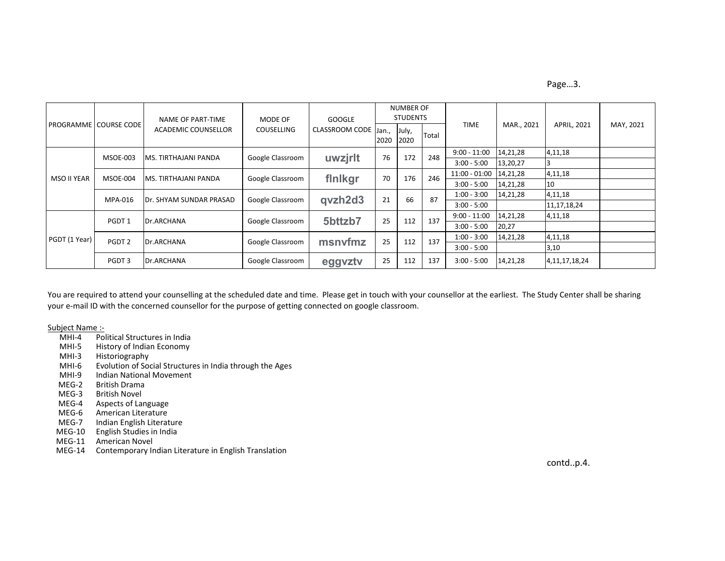#### Page…3.

|               | <b>PROGRAMME COURSE CODE</b> | NAME OF PART-TIME<br>ACADEMIC COUNSELLOR | MODE OF<br><b>COUSELLING</b> | <b>GOOGLE</b><br><b>CLASSROOM CODE</b> | <b>NUMBER OF</b><br><b>STUDENTS</b> |               |       |                 |            |                    |           |
|---------------|------------------------------|------------------------------------------|------------------------------|----------------------------------------|-------------------------------------|---------------|-------|-----------------|------------|--------------------|-----------|
|               |                              |                                          |                              |                                        | Jan.,<br>2020                       | July,<br>2020 | Total | <b>TIME</b>     | MAR., 2021 | <b>APRIL, 2021</b> | MAY, 2021 |
| MSO II YEAR   | <b>MSOE-003</b>              | <b>IMS. TIRTHAJANI PANDA</b>             | Google Classroom             | uwzjrlt                                | 76                                  | 172           | 248   | $9:00 - 11:00$  | 14,21,28   | 4,11,18            |           |
|               |                              |                                          |                              |                                        |                                     |               |       | $3:00 - 5:00$   | 13,20,27   |                    |           |
|               | <b>MSOE-004</b>              | <b>MS. TIRTHAJANI PANDA</b>              | Google Classroom             | finikgr                                | 70                                  | 176           | 246   | $11:00 - 01:00$ | 14,21,28   | 4,11,18            |           |
|               |                              |                                          |                              |                                        |                                     |               |       | $3:00 - 5:00$   | 14,21,28   | 10                 |           |
|               | MPA-016                      | <b>IDr. SHYAM SUNDAR PRASAD</b>          | Google Classroom             | qvzh2d3                                | 21                                  | 66            | 87    | $1:00 - 3:00$   | 14,21,28   | 4,11,18            |           |
|               |                              |                                          |                              |                                        |                                     |               |       | $3:00 - 5:00$   |            | 11, 17, 18, 24     |           |
| PGDT (1 Year) | PGDT <sub>1</sub>            | Dr.ARCHANA                               | Google Classroom             | 5bttzb7                                | 25                                  | 112           | 137   | $9:00 - 11:00$  | 14,21,28   | 4,11,18            |           |
|               |                              |                                          |                              |                                        |                                     |               |       | $3:00 - 5:00$   | 20,27      |                    |           |
|               | PGDT <sub>2</sub>            | Dr.ARCHANA                               | Google Classroom             | msnyfmz                                | 25                                  | 112           | 137   | $1:00 - 3:00$   | 14,21,28   | 4,11,18            |           |
|               |                              |                                          |                              |                                        |                                     |               |       | $3:00 - 5:00$   |            | 3,10               |           |
|               | PGDT 3                       | Dr.ARCHANA                               | Google Classroom             | eggyzty                                | 25                                  | 112           | 137   | $3:00 - 5:00$   | 14,21,28   | 4, 11, 17, 18, 24  |           |

You are required to attend your counselling at the scheduled date and time. Please get in touch with your counsellor at the earliest. The Study Center shall be sharing your e-mail ID with the concerned counsellor for the purpose of getting connected on google classroom.

# Subject Name :-<br>MHI-4 Pol

- MHI-4 Political Structures in India<br>MHI-5 History of Indian Economy
- MHI-5 History of Indian Economy<br>MHI-3 Historiography
- MHI-3 Historiography<br>MHI-6 Evolution of Soo
- MHI-6 Evolution of Social Structures in India through the Ages<br>MHI-9 Indian National Movement
- MHI-9 Indian National Movement<br>MEG-2 British Drama
- MEG-2 British Drama<br>MEG-3 British Novel
- **British Novel**
- MEG-4 Aspects of Language<br>MEG-6 American Literature
- MEG-6 American Literature<br>MEG-7 Indian English Literat
- Indian English Literature
- MEG-10 English Studies in India
- MEG-11 American Novel
- MEG-14 Contemporary Indian Literature in English Translation

contd..p.4.